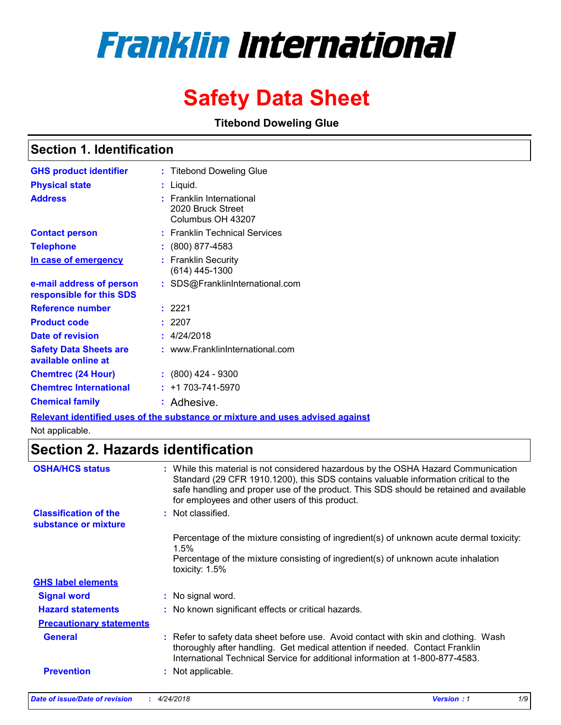# **Franklin International**

## **Safety Data Sheet**

**Titebond Doweling Glue**

## **Section 1. Identification**

| <b>GHS product identifier</b>                        | : Titebond Doweling Glue                                           |
|------------------------------------------------------|--------------------------------------------------------------------|
| <b>Physical state</b>                                | Liquid.                                                            |
| <b>Address</b>                                       | : Franklin International<br>2020 Bruck Street<br>Columbus OH 43207 |
| <b>Contact person</b>                                | : Franklin Technical Services                                      |
| <b>Telephone</b>                                     | $\colon$ (800) 877-4583                                            |
| In case of emergency                                 | <b>Franklin Security</b><br>$(614)$ 445-1300                       |
| e-mail address of person<br>responsible for this SDS | : SDS@FranklinInternational.com                                    |
| Reference number                                     | : 2221                                                             |
| <b>Product code</b>                                  | : 2207                                                             |
| Date of revision                                     | : 4/24/2018                                                        |
| <b>Safety Data Sheets are</b><br>available online at | : www.FranklinInternational.com                                    |
| <b>Chemtrec (24 Hour)</b>                            | : (800) 424 - 9300                                                 |
| <b>Chemtrec International</b>                        | $: +1703 - 741 - 5970$                                             |
| <b>Chemical family</b>                               | : Adhesive.                                                        |

**Relevant identified uses of the substance or mixture and uses advised against**

Not applicable.

## **Section 2. Hazards identification**

| <b>OSHA/HCS status</b>                               | : While this material is not considered hazardous by the OSHA Hazard Communication<br>Standard (29 CFR 1910.1200), this SDS contains valuable information critical to the<br>safe handling and proper use of the product. This SDS should be retained and available<br>for employees and other users of this product. |
|------------------------------------------------------|-----------------------------------------------------------------------------------------------------------------------------------------------------------------------------------------------------------------------------------------------------------------------------------------------------------------------|
| <b>Classification of the</b><br>substance or mixture | : Not classified.                                                                                                                                                                                                                                                                                                     |
|                                                      | Percentage of the mixture consisting of ingredient(s) of unknown acute dermal toxicity:<br>$1.5\%$                                                                                                                                                                                                                    |
|                                                      | Percentage of the mixture consisting of ingredient(s) of unknown acute inhalation<br>toxicity: 1.5%                                                                                                                                                                                                                   |
| <b>GHS label elements</b>                            |                                                                                                                                                                                                                                                                                                                       |
| <b>Signal word</b>                                   | : No signal word.                                                                                                                                                                                                                                                                                                     |
| <b>Hazard statements</b>                             | : No known significant effects or critical hazards.                                                                                                                                                                                                                                                                   |
| <b>Precautionary statements</b>                      |                                                                                                                                                                                                                                                                                                                       |
| <b>General</b>                                       | : Refer to safety data sheet before use. Avoid contact with skin and clothing. Wash<br>thoroughly after handling. Get medical attention if needed. Contact Franklin<br>International Technical Service for additional information at 1-800-877-4583.                                                                  |
| <b>Prevention</b>                                    | : Not applicable.                                                                                                                                                                                                                                                                                                     |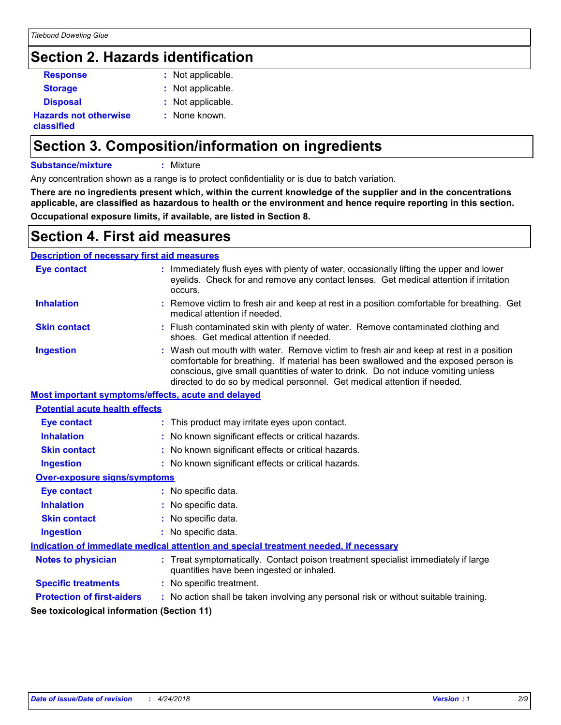## **Section 2. Hazards identification**

| г<br>יי |
|---------|
|         |

**:** Not applicable.

**Storage :** Not applicable.

**Disposal :** Not applicable.

**:** None known.

**Hazards not otherwise** 

**classified**

## **Section 3. Composition/information on ingredients**

### **Substance/mixture :** Mixture

Any concentration shown as a range is to protect confidentiality or is due to batch variation.

**There are no ingredients present which, within the current knowledge of the supplier and in the concentrations applicable, are classified as hazardous to health or the environment and hence require reporting in this section. Occupational exposure limits, if available, are listed in Section 8.**

## **Section 4. First aid measures**

#### Wash out mouth with water. Remove victim to fresh air and keep at rest in a position comfortable for breathing. If material has been swallowed and the exposed person is conscious, give small quantities of water to drink. Do not induce vomiting unless directed to do so by medical personnel. Get medical attention if needed. **:** Immediately flush eyes with plenty of water, occasionally lifting the upper and lower eyelids. Check for and remove any contact lenses. Get medical attention if irritation occurs. Flush contaminated skin with plenty of water. Remove contaminated clothing and **:** shoes. Get medical attention if needed. Remove victim to fresh air and keep at rest in a position comfortable for breathing. Get **:** medical attention if needed. **Eye contact Skin contact Inhalation Ingestion : Protection of first-aiders :** No action shall be taken involving any personal risk or without suitable training. **Notes to physician <b>:** Treat symptomatically. Contact poison treatment specialist immediately if large quantities have been ingested or inhaled. **Description of necessary first aid measures Specific treatments :** No specific treatment. **Most important symptoms/effects, acute and delayed Inhalation :** No known significant effects or critical hazards. **Ingestion :** No known significant effects or critical hazards. **Skin contact :** No known significant effects or critical hazards. **Eye contact :** This product may irritate eyes upon contact. **Over-exposure signs/symptoms Skin contact Ingestion Inhalation :** No specific data. No specific data. **:** No specific data. **: Eye contact :** No specific data. **Potential acute health effects See toxicological information (Section 11) Indication of immediate medical attention and special treatment needed, if necessary**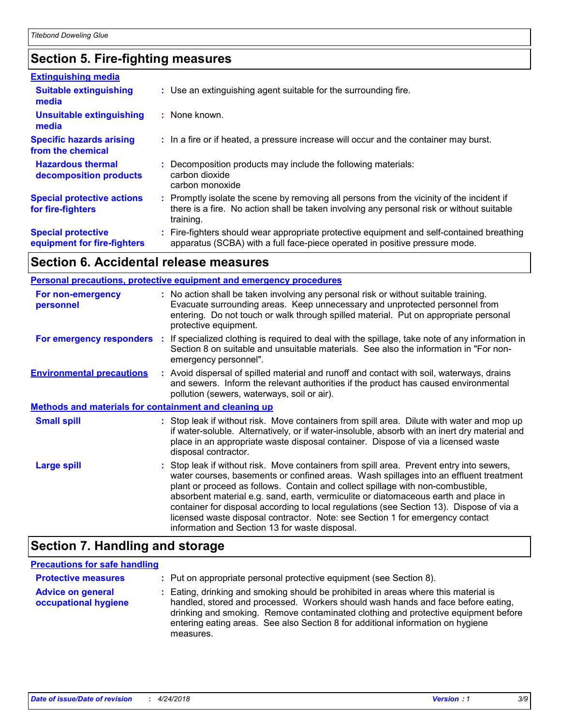## **Section 5. Fire-fighting measures**

| <b>Extinguishing media</b>                               |                                                                                                                                                                                                     |
|----------------------------------------------------------|-----------------------------------------------------------------------------------------------------------------------------------------------------------------------------------------------------|
| <b>Suitable extinguishing</b><br>media                   | : Use an extinguishing agent suitable for the surrounding fire.                                                                                                                                     |
| <b>Unsuitable extinguishing</b><br>media                 | : None known.                                                                                                                                                                                       |
| <b>Specific hazards arising</b><br>from the chemical     | : In a fire or if heated, a pressure increase will occur and the container may burst.                                                                                                               |
| <b>Hazardous thermal</b><br>decomposition products       | Decomposition products may include the following materials:<br>carbon dioxide<br>carbon monoxide                                                                                                    |
| <b>Special protective actions</b><br>for fire-fighters   | : Promptly isolate the scene by removing all persons from the vicinity of the incident if<br>there is a fire. No action shall be taken involving any personal risk or without suitable<br>training. |
| <b>Special protective</b><br>equipment for fire-fighters | : Fire-fighters should wear appropriate protective equipment and self-contained breathing<br>apparatus (SCBA) with a full face-piece operated in positive pressure mode.                            |

## **Section 6. Accidental release measures**

| <b>Personal precautions, protective equipment and emergency procedures</b> |  |                                                                                                                                                                                                                                                                                                                                                                                                                                                                                                                                                                                            |  |
|----------------------------------------------------------------------------|--|--------------------------------------------------------------------------------------------------------------------------------------------------------------------------------------------------------------------------------------------------------------------------------------------------------------------------------------------------------------------------------------------------------------------------------------------------------------------------------------------------------------------------------------------------------------------------------------------|--|
| For non-emergency<br>personnel                                             |  | : No action shall be taken involving any personal risk or without suitable training.<br>Evacuate surrounding areas. Keep unnecessary and unprotected personnel from<br>entering. Do not touch or walk through spilled material. Put on appropriate personal<br>protective equipment.                                                                                                                                                                                                                                                                                                       |  |
|                                                                            |  | For emergency responders : If specialized clothing is required to deal with the spillage, take note of any information in<br>Section 8 on suitable and unsuitable materials. See also the information in "For non-<br>emergency personnel".                                                                                                                                                                                                                                                                                                                                                |  |
| <b>Environmental precautions</b>                                           |  | : Avoid dispersal of spilled material and runoff and contact with soil, waterways, drains<br>and sewers. Inform the relevant authorities if the product has caused environmental<br>pollution (sewers, waterways, soil or air).                                                                                                                                                                                                                                                                                                                                                            |  |
| <b>Methods and materials for containment and cleaning up</b>               |  |                                                                                                                                                                                                                                                                                                                                                                                                                                                                                                                                                                                            |  |
| <b>Small spill</b>                                                         |  | : Stop leak if without risk. Move containers from spill area. Dilute with water and mop up<br>if water-soluble. Alternatively, or if water-insoluble, absorb with an inert dry material and<br>place in an appropriate waste disposal container. Dispose of via a licensed waste<br>disposal contractor.                                                                                                                                                                                                                                                                                   |  |
| <b>Large spill</b>                                                         |  | : Stop leak if without risk. Move containers from spill area. Prevent entry into sewers,<br>water courses, basements or confined areas. Wash spillages into an effluent treatment<br>plant or proceed as follows. Contain and collect spillage with non-combustible,<br>absorbent material e.g. sand, earth, vermiculite or diatomaceous earth and place in<br>container for disposal according to local regulations (see Section 13). Dispose of via a<br>licensed waste disposal contractor. Note: see Section 1 for emergency contact<br>information and Section 13 for waste disposal. |  |

## **Section 7. Handling and storage**

### **Precautions for safe handling**

| <b>Protective measures</b>                       | : Put on appropriate personal protective equipment (see Section 8).                                                                                                                                                                                                                                                                                           |
|--------------------------------------------------|---------------------------------------------------------------------------------------------------------------------------------------------------------------------------------------------------------------------------------------------------------------------------------------------------------------------------------------------------------------|
| <b>Advice on general</b><br>occupational hygiene | : Eating, drinking and smoking should be prohibited in areas where this material is<br>handled, stored and processed. Workers should wash hands and face before eating,<br>drinking and smoking. Remove contaminated clothing and protective equipment before<br>entering eating areas. See also Section 8 for additional information on hygiene<br>measures. |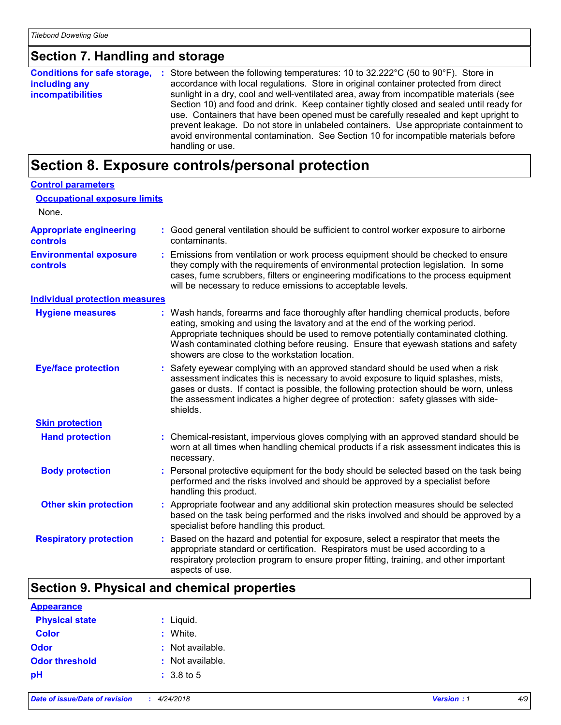## **Section 7. Handling and storage**

| <b>Conditions for safe storage,</b>       | : Store between the following temperatures: 10 to 32.222°C (50 to 90°F). Store in                                                                                                                                                                                                                                                                                                                                                                                                                                                                                       |
|-------------------------------------------|-------------------------------------------------------------------------------------------------------------------------------------------------------------------------------------------------------------------------------------------------------------------------------------------------------------------------------------------------------------------------------------------------------------------------------------------------------------------------------------------------------------------------------------------------------------------------|
| including any<br><b>incompatibilities</b> | accordance with local regulations. Store in original container protected from direct<br>sunlight in a dry, cool and well-ventilated area, away from incompatible materials (see<br>Section 10) and food and drink. Keep container tightly closed and sealed until ready for<br>use. Containers that have been opened must be carefully resealed and kept upright to<br>prevent leakage. Do not store in unlabeled containers. Use appropriate containment to<br>avoid environmental contamination. See Section 10 for incompatible materials before<br>handling or use. |

## **Section 8. Exposure controls/personal protection**

| <b>Control parameters</b>                         |                                                                                                                                                                                                                                                                                                                                                                                                 |
|---------------------------------------------------|-------------------------------------------------------------------------------------------------------------------------------------------------------------------------------------------------------------------------------------------------------------------------------------------------------------------------------------------------------------------------------------------------|
| <b>Occupational exposure limits</b>               |                                                                                                                                                                                                                                                                                                                                                                                                 |
| None.                                             |                                                                                                                                                                                                                                                                                                                                                                                                 |
| <b>Appropriate engineering</b><br><b>controls</b> | : Good general ventilation should be sufficient to control worker exposure to airborne<br>contaminants.                                                                                                                                                                                                                                                                                         |
| <b>Environmental exposure</b><br>controls         | Emissions from ventilation or work process equipment should be checked to ensure<br>they comply with the requirements of environmental protection legislation. In some<br>cases, fume scrubbers, filters or engineering modifications to the process equipment<br>will be necessary to reduce emissions to acceptable levels.                                                                   |
| <b>Individual protection measures</b>             |                                                                                                                                                                                                                                                                                                                                                                                                 |
| <b>Hygiene measures</b>                           | Wash hands, forearms and face thoroughly after handling chemical products, before<br>eating, smoking and using the lavatory and at the end of the working period.<br>Appropriate techniques should be used to remove potentially contaminated clothing.<br>Wash contaminated clothing before reusing. Ensure that eyewash stations and safety<br>showers are close to the workstation location. |
| <b>Eye/face protection</b>                        | Safety eyewear complying with an approved standard should be used when a risk<br>assessment indicates this is necessary to avoid exposure to liquid splashes, mists,<br>gases or dusts. If contact is possible, the following protection should be worn, unless<br>the assessment indicates a higher degree of protection: safety glasses with side-<br>shields.                                |
| <b>Skin protection</b>                            |                                                                                                                                                                                                                                                                                                                                                                                                 |
| <b>Hand protection</b>                            | : Chemical-resistant, impervious gloves complying with an approved standard should be<br>worn at all times when handling chemical products if a risk assessment indicates this is<br>necessary.                                                                                                                                                                                                 |
| <b>Body protection</b>                            | Personal protective equipment for the body should be selected based on the task being<br>performed and the risks involved and should be approved by a specialist before<br>handling this product.                                                                                                                                                                                               |
| <b>Other skin protection</b>                      | Appropriate footwear and any additional skin protection measures should be selected<br>based on the task being performed and the risks involved and should be approved by a<br>specialist before handling this product.                                                                                                                                                                         |
| <b>Respiratory protection</b>                     | Based on the hazard and potential for exposure, select a respirator that meets the<br>appropriate standard or certification. Respirators must be used according to a<br>respiratory protection program to ensure proper fitting, training, and other important<br>aspects of use.                                                                                                               |

## **Section 9. Physical and chemical properties**

## **Appearance**

| <b>Physical state</b> | $:$ Liquid.           |
|-----------------------|-----------------------|
| <b>Color</b>          | : White.              |
| <b>Odor</b>           | : Not available.      |
| <b>Odor threshold</b> | $:$ Not available.    |
| рH                    | $: 3.8 \text{ to } 5$ |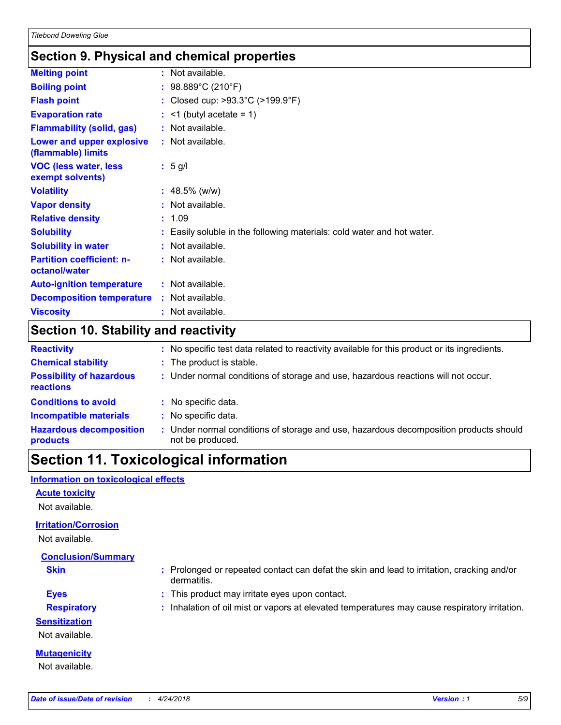### **Section 9. Physical and chemical properties**

| <b>Melting point</b><br>$:$ Not available.<br>: $98.889^{\circ}$ C (210 $^{\circ}$ F)<br><b>Boiling point</b> |
|---------------------------------------------------------------------------------------------------------------|
|                                                                                                               |
|                                                                                                               |
| : Closed cup: $>93.3^{\circ}$ C ( $>199.9^{\circ}$ F)<br><b>Flash point</b>                                   |
| <b>Evaporation rate</b><br>$:$ <1 (butyl acetate = 1)                                                         |
| <b>Flammability (solid, gas)</b><br>: Not available.                                                          |
| : Not available.<br>Lower and upper explosive<br>(flammable) limits                                           |
| <b>VOC (less water, less)</b><br>$: 5$ g/l<br>exempt solvents)                                                |
| <b>Volatility</b><br>$: 48.5\%$ (w/w)                                                                         |
| <b>Vapor density</b><br>$:$ Not available.                                                                    |
| : 1.09<br><b>Relative density</b>                                                                             |
| <b>Solubility</b><br>: Easily soluble in the following materials: cold water and hot water.                   |
| <b>Solubility in water</b><br>: Not available.                                                                |
| <b>Partition coefficient: n-</b><br>: Not available.<br>octanol/water                                         |
| <b>Auto-ignition temperature</b><br>$:$ Not available.                                                        |
| <b>Decomposition temperature</b><br>: Not available.                                                          |
| <b>Viscosity</b><br>: Not available.                                                                          |

### **Section 10. Stability and reactivity**

|    | No specific test data related to reactivity available for this product or its ingredients.              |
|----|---------------------------------------------------------------------------------------------------------|
|    | : The product is stable.                                                                                |
|    | : Under normal conditions of storage and use, hazardous reactions will not occur.                       |
| ÷. | No specific data.                                                                                       |
|    | No specific data.                                                                                       |
| ÷. | Under normal conditions of storage and use, hazardous decomposition products should<br>not be produced. |
|    |                                                                                                         |

## **Section 11. Toxicological information**

### **Information on toxicological effects**

### **Acute toxicity**

Not available.

### **Irritation/Corrosion**

Not available.

### **Conclusion/Summary**

- **Skin :** Prolonged or repeated contact can defat the skin and lead to irritation, cracking and/or dermatitis.
- **Eyes :** This product may irritate eyes upon contact.
- **Respiratory :** Inhalation of oil mist or vapors at elevated temperatures may cause respiratory irritation.

### **Sensitization**

Not available.

### **Mutagenicity**

Not available.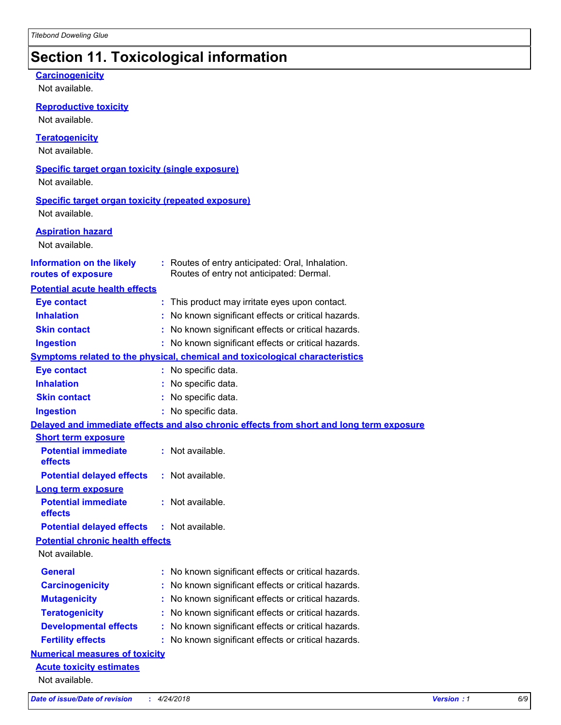## **Section 11. Toxicological information**

| <b>Carcinogenicity</b><br>Not available.                                    |                                                                                              |
|-----------------------------------------------------------------------------|----------------------------------------------------------------------------------------------|
| <b>Reproductive toxicity</b><br>Not available.                              |                                                                                              |
| <b>Teratogenicity</b><br>Not available.                                     |                                                                                              |
| <b>Specific target organ toxicity (single exposure)</b><br>Not available.   |                                                                                              |
| <b>Specific target organ toxicity (repeated exposure)</b><br>Not available. |                                                                                              |
| <b>Aspiration hazard</b><br>Not available.                                  |                                                                                              |
| <b>Information on the likely</b><br>routes of exposure                      | : Routes of entry anticipated: Oral, Inhalation.<br>Routes of entry not anticipated: Dermal. |
| <b>Potential acute health effects</b>                                       |                                                                                              |
| <b>Eye contact</b>                                                          | : This product may irritate eyes upon contact.                                               |
| <b>Inhalation</b>                                                           | : No known significant effects or critical hazards.                                          |
| <b>Skin contact</b>                                                         | : No known significant effects or critical hazards.                                          |
| <b>Ingestion</b>                                                            | : No known significant effects or critical hazards.                                          |
|                                                                             | <b>Symptoms related to the physical, chemical and toxicological characteristics</b>          |
| <b>Eye contact</b>                                                          | : No specific data.                                                                          |
| <b>Inhalation</b>                                                           | : No specific data.                                                                          |
| <b>Skin contact</b>                                                         | : No specific data.                                                                          |
| <b>Ingestion</b>                                                            | : No specific data.                                                                          |
|                                                                             | Delayed and immediate effects and also chronic effects from short and long term exposure     |
| <b>Short term exposure</b>                                                  |                                                                                              |
| <b>Potential immediate</b><br>effects                                       | : Not available.                                                                             |
| <b>Potential delayed effects : Not available.</b>                           |                                                                                              |
| <b>Long term exposure</b>                                                   |                                                                                              |
| <b>Potential immediate</b><br>effects                                       | : Not available.                                                                             |
| <b>Potential delayed effects</b>                                            | : Not available.                                                                             |
| <b>Potential chronic health effects</b>                                     |                                                                                              |
| Not available.                                                              |                                                                                              |
| <b>General</b>                                                              | : No known significant effects or critical hazards.                                          |
| <b>Carcinogenicity</b>                                                      | No known significant effects or critical hazards.                                            |
| <b>Mutagenicity</b>                                                         | No known significant effects or critical hazards.                                            |
| <b>Teratogenicity</b>                                                       | No known significant effects or critical hazards.                                            |
| <b>Developmental effects</b>                                                | : No known significant effects or critical hazards.                                          |
| <b>Fertility effects</b>                                                    | : No known significant effects or critical hazards.                                          |
| <b>Numerical measures of toxicity</b>                                       |                                                                                              |
| <b>Acute toxicity estimates</b>                                             |                                                                                              |
| Not available.                                                              |                                                                                              |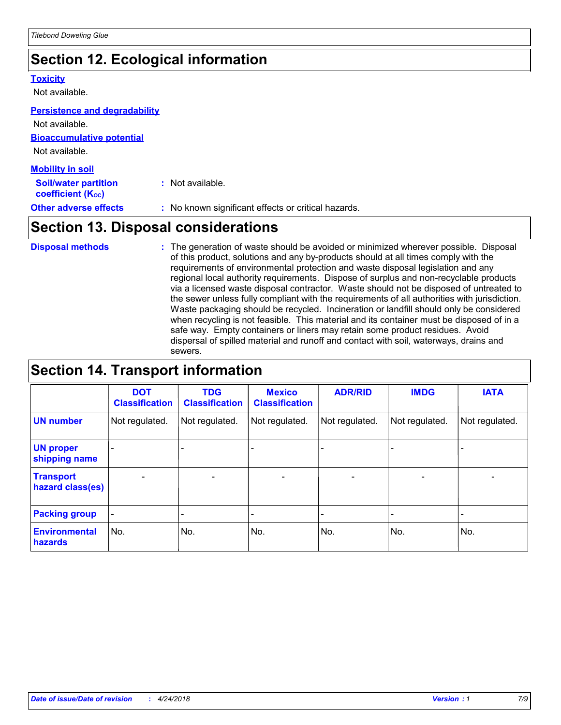## **Section 12. Ecological information**

### **Toxicity**

Not available.

### **Persistence and degradability**

**Bioaccumulative potential** Not available. Not available.

| <b>Mobility in soil</b>                                 |                                                     |
|---------------------------------------------------------|-----------------------------------------------------|
| <b>Soil/water partition</b><br><b>coefficient (Koc)</b> | : Not available.                                    |
| <b>Other adverse effects</b>                            | : No known significant effects or critical hazards. |

## **Section 13. Disposal considerations**

The generation of waste should be avoided or minimized wherever possible. Disposal of this product, solutions and any by-products should at all times comply with the requirements of environmental protection and waste disposal legislation and any regional local authority requirements. Dispose of surplus and non-recyclable products via a licensed waste disposal contractor. Waste should not be disposed of untreated to the sewer unless fully compliant with the requirements of all authorities with jurisdiction. Waste packaging should be recycled. Incineration or landfill should only be considered when recycling is not feasible. This material and its container must be disposed of in a safe way. Empty containers or liners may retain some product residues. Avoid dispersal of spilled material and runoff and contact with soil, waterways, drains and sewers. **Disposal methods :**

## **Section 14. Transport information**

|                                      | <b>DOT</b><br><b>Classification</b> | <b>TDG</b><br><b>Classification</b> | <b>Mexico</b><br><b>Classification</b> | <b>ADR/RID</b>               | <b>IMDG</b>              | <b>IATA</b>              |
|--------------------------------------|-------------------------------------|-------------------------------------|----------------------------------------|------------------------------|--------------------------|--------------------------|
| <b>UN number</b>                     | Not regulated.                      | Not regulated.                      | Not regulated.                         | Not regulated.               | Not regulated.           | Not regulated.           |
| <b>UN proper</b><br>shipping name    |                                     |                                     |                                        |                              |                          |                          |
| <b>Transport</b><br>hazard class(es) | $\overline{\phantom{0}}$            | $\overline{\phantom{0}}$            | $\qquad \qquad$                        | $\qquad \qquad \blacksquare$ | $\overline{\phantom{0}}$ | $\overline{\phantom{0}}$ |
| <b>Packing group</b>                 | $\blacksquare$                      | -                                   |                                        | -                            |                          | -                        |
| <b>Environmental</b><br>hazards      | No.                                 | No.                                 | No.                                    | No.                          | No.                      | No.                      |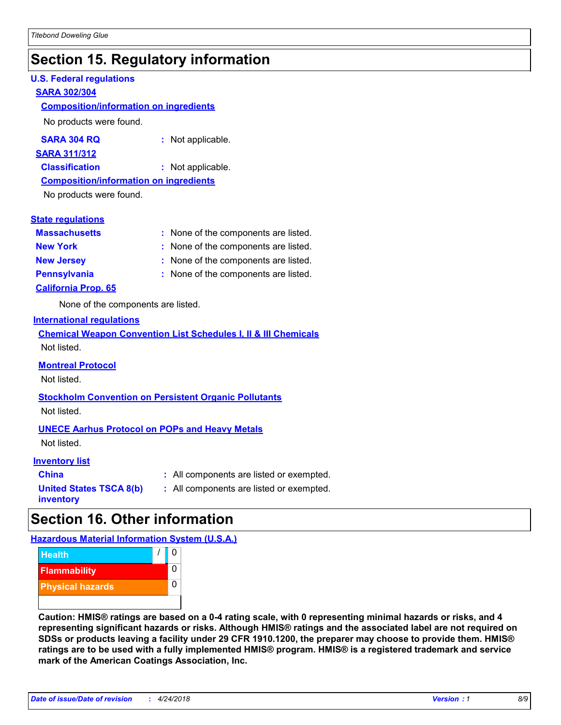## **Section 15. Regulatory information**

### **U.S. Federal regulations**

### **SARA 302/304**

### **Composition/information on ingredients**

No products were found.

| SARA 304 RQ | Not applicable. |
|-------------|-----------------|
|-------------|-----------------|

### **SARA 311/312**

**Classification :** Not applicable.

### **Composition/information on ingredients**

No products were found.

### **State regulations**

| <b>Massachusetts</b>       | : None of the components are listed. |
|----------------------------|--------------------------------------|
| <b>New York</b>            | : None of the components are listed. |
| <b>New Jersey</b>          | : None of the components are listed. |
| <b>Pennsylvania</b>        | : None of the components are listed. |
| <b>California Prop. 65</b> |                                      |

None of the components are listed.

### **International regulations**

|             | <b>Chemical Weapon Convention List Schedules I, II &amp; III Chemicals</b> |  |  |  |
|-------------|----------------------------------------------------------------------------|--|--|--|
| Not listed. |                                                                            |  |  |  |

### **Montreal Protocol**

Not listed.

### **Stockholm Convention on Persistent Organic Pollutants** Not listed.

### **UNECE Aarhus Protocol on POPs and Heavy Metals**

Not listed.

### **Inventory list**

| <b>China</b>                   |  |
|--------------------------------|--|
| <b>United States TSCA 8(b)</b> |  |
| inventory                      |  |

**:** All components are listed or exempted. **:** All components are listed or exempted.

## **Section 16. Other information**

**Hazardous Material Information System (U.S.A.)**



**Caution: HMIS® ratings are based on a 0-4 rating scale, with 0 representing minimal hazards or risks, and 4 representing significant hazards or risks. Although HMIS® ratings and the associated label are not required on SDSs or products leaving a facility under 29 CFR 1910.1200, the preparer may choose to provide them. HMIS® ratings are to be used with a fully implemented HMIS® program. HMIS® is a registered trademark and service mark of the American Coatings Association, Inc.**